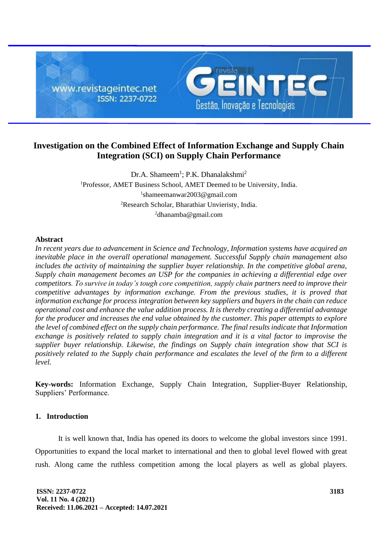

# **Investigation on the Combined Effect of Information Exchange and Supply Chain Integration (SCI) on Supply Chain Performance**

Dr.A. Shameem<sup>1</sup>; P.K. Dhanalakshmi<sup>2</sup> <sup>1</sup>Professor, AMET Business School, AMET Deemed to be University, India. 1 shameemanwar2003@gmail.com <sup>2</sup>Research Scholar, Bharathiar Unvieristy, India.  $^{2}$ dhanamba@gmail.com

#### **Abstract**

*In recent years due to advancement in Science and Technology, Information systems have acquired an inevitable place in the overall operational management. Successful Supply chain management also includes the activity of maintaining the supplier buyer relationship. In the competitive global arena, Supply chain management becomes an USP for the companies in achieving a differential edge over competitors. To survive in today's tough core competition, supply chain partners need to improve their competitive advantages by information exchange. From the previous studies, it is proved that information exchange for process integration between key suppliers and buyers in the chain can reduce operational cost and enhance the value addition process. It is thereby creating a differential advantage for the producer and increases the end value obtained by the customer. This paper attempts to explore the level of combined effect on the supply chain performance. The final results indicate that Information exchange is positively related to supply chain integration and it is a vital factor to improvise the supplier buyer relationship. Likewise, the findings on Supply chain integration show that SCI is positively related to the Supply chain performance and escalates the level of the firm to a different level.* 

**Key-words:** Information Exchange, Supply Chain Integration, Supplier-Buyer Relationship, Suppliers' Performance.

## **1. Introduction**

It is well known that, India has opened its doors to welcome the global investors since 1991. Opportunities to expand the local market to international and then to global level flowed with great rush. Along came the ruthless competition among the local players as well as global players.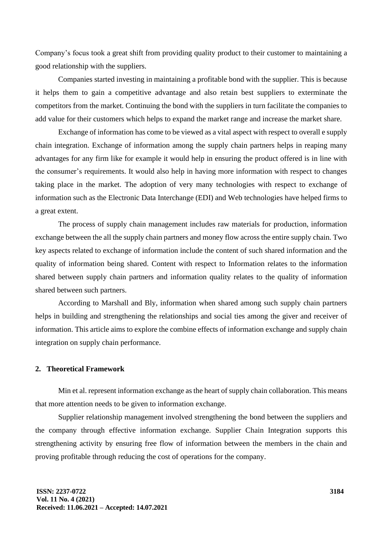Company's focus took a great shift from providing quality product to their customer to maintaining a good relationship with the suppliers.

Companies started investing in maintaining a profitable bond with the supplier. This is because it helps them to gain a competitive advantage and also retain best suppliers to exterminate the competitors from the market. Continuing the bond with the suppliers in turn facilitate the companies to add value for their customers which helps to expand the market range and increase the market share.

Exchange of information has come to be viewed as a vital aspect with respect to overall e supply chain integration. Exchange of information among the supply chain partners helps in reaping many advantages for any firm like for example it would help in ensuring the product offered is in line with the consumer's requirements. It would also help in having more information with respect to changes taking place in the market. The adoption of very many technologies with respect to exchange of information such as the Electronic Data Interchange (EDI) and Web technologies have helped firms to a great extent.

The process of supply chain management includes raw materials for production, information exchange between the all the supply chain partners and money flow across the entire supply chain. Two key aspects related to exchange of information include the content of such shared information and the quality of information being shared. Content with respect to Information relates to the information shared between supply chain partners and information quality relates to the quality of information shared between such partners.

According to Marshall and Bly, information when shared among such supply chain partners helps in building and strengthening the relationships and social ties among the giver and receiver of information. This article aims to explore the combine effects of information exchange and supply chain integration on supply chain performance.

#### **2. Theoretical Framework**

Min et al. represent information exchange as the heart of supply chain collaboration. This means that more attention needs to be given to information exchange.

Supplier relationship management involved strengthening the bond between the suppliers and the company through effective information exchange. Supplier Chain Integration supports this strengthening activity by ensuring free flow of information between the members in the chain and proving profitable through reducing the cost of operations for the company.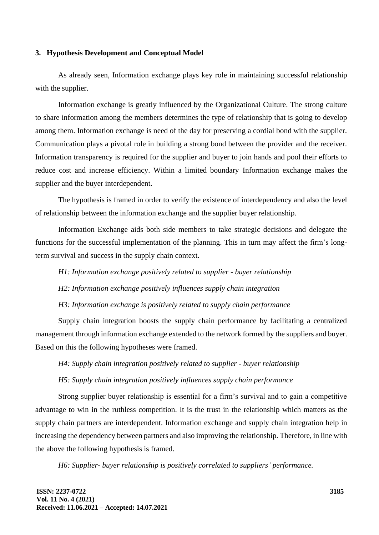#### **3. Hypothesis Development and Conceptual Model**

As already seen, Information exchange plays key role in maintaining successful relationship with the supplier.

Information exchange is greatly influenced by the Organizational Culture. The strong culture to share information among the members determines the type of relationship that is going to develop among them. Information exchange is need of the day for preserving a cordial bond with the supplier. Communication plays a pivotal role in building a strong bond between the provider and the receiver. Information transparency is required for the supplier and buyer to join hands and pool their efforts to reduce cost and increase efficiency. Within a limited boundary Information exchange makes the supplier and the buyer interdependent.

The hypothesis is framed in order to verify the existence of interdependency and also the level of relationship between the information exchange and the supplier buyer relationship.

Information Exchange aids both side members to take strategic decisions and delegate the functions for the successful implementation of the planning. This in turn may affect the firm's longterm survival and success in the supply chain context.

*H1: Information exchange positively related to supplier - buyer relationship*

*H2: Information exchange positively influences supply chain integration*

*H3: Information exchange is positively related to supply chain performance*

Supply chain integration boosts the supply chain performance by facilitating a centralized management through information exchange extended to the network formed by the suppliers and buyer. Based on this the following hypotheses were framed.

*H4: Supply chain integration positively related to supplier - buyer relationship* 

*H5: Supply chain integration positively influences supply chain performance*

Strong supplier buyer relationship is essential for a firm's survival and to gain a competitive advantage to win in the ruthless competition. It is the trust in the relationship which matters as the supply chain partners are interdependent. Information exchange and supply chain integration help in increasing the dependency between partners and also improving the relationship. Therefore, in line with the above the following hypothesis is framed.

*H6: Supplier- buyer relationship is positively correlated to suppliers' performance.*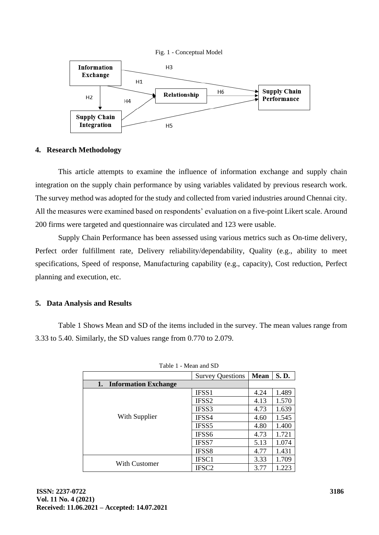

# **4. Research Methodology**

This article attempts to examine the influence of information exchange and supply chain integration on the supply chain performance by using variables validated by previous research work. The survey method was adopted for the study and collected from varied industries around Chennai city. All the measures were examined based on respondents' evaluation on a five-point Likert scale. Around 200 firms were targeted and questionnaire was circulated and 123 were usable.

Supply Chain Performance has been assessed using various metrics such as On-time delivery, Perfect order fulfillment rate, Delivery reliability/dependability, Quality (e.g., ability to meet specifications, Speed of response, Manufacturing capability (e.g., capacity), Cost reduction, Perfect planning and execution, etc.

## **5. Data Analysis and Results**

Table 1 Shows Mean and SD of the items included in the survey. The mean values range from 3.33 to 5.40. Similarly, the SD values range from 0.770 to 2.079.

| Tavit I - Mitali any D            |                         |             |       |
|-----------------------------------|-------------------------|-------------|-------|
|                                   | <b>Survey Questions</b> | <b>Mean</b> | S.D.  |
| <b>Information Exchange</b><br>1. |                         |             |       |
| With Supplier                     | IFSS1                   | 4.24        | 1.489 |
|                                   | IFSS <sub>2</sub>       | 4.13        | 1.570 |
|                                   | IFSS3                   | 4.73        | 1.639 |
|                                   | IFSS4                   | 4.60        | 1.545 |
|                                   | IFSS5                   | 4.80        | 1.400 |
|                                   | IFSS6                   | 4.73        | 1.721 |
|                                   | IFSS7                   | 5.13        | 1.074 |
|                                   | IFSS8                   | 4.77        | 1.431 |
| <b>With Customer</b>              | IFSC1                   | 3.33        | 1.709 |
|                                   | IFSC <sub>2</sub>       | 3.77        | 1.223 |

Table 1 Mean and SD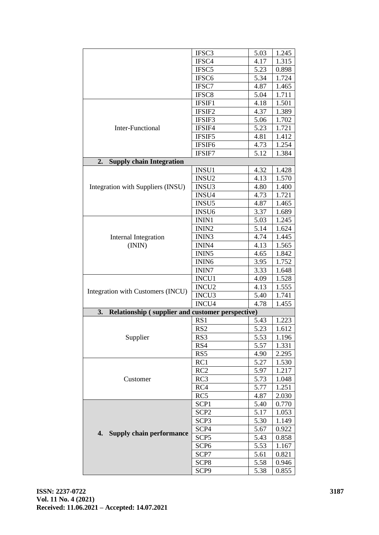| IFSC3<br>5.03<br>1.245<br>IFSC4<br>4.17<br>1.315<br>IFSC <sub>5</sub><br>5.23<br>0.898<br>1.724<br>IFSC <sub>6</sub><br>5.34<br>IFSC7<br>4.87<br>1.465<br>IFSC8<br>5.04<br>1.711<br>4.18<br>1.501<br>IFSIF1<br>IFSIF2<br>4.37<br>1.389<br>IFSIF3<br>1.702<br>5.06<br>IFSIF4<br>1.721<br><b>Inter-Functional</b><br>5.23<br>IFSIF5<br>4.81<br>1.412<br>IFSIF <sub>6</sub><br>1.254<br>4.73<br>IFSIF7<br>5.12<br>1.384<br><b>Supply chain Integration</b><br>2.<br>4.32<br>INSU1<br>1.428<br>INSU <sub>2</sub><br>4.13<br>1.570<br>INSU3<br>4.80<br>Integration with Suppliers (INSU)<br>1.400<br>INSU4<br>1.721<br>4.73<br>INSU <sub>5</sub><br>4.87<br>1.465<br>INSU <sub>6</sub><br>3.37<br>1.689<br>ININ1<br>1.245<br>5.03<br>ININ <sub>2</sub><br>5.14<br>1.624<br>ININ3<br>4.74<br><b>Internal Integration</b><br>1.445<br>(ININ)<br>1.565<br>ININ4<br>4.13<br>ININ <sub>5</sub><br>1.842<br>4.65<br>ININ <sub>6</sub><br>1.752<br>3.95<br>3.33<br>1.648<br><b>ININ7</b><br>INCU1<br>1.528<br>4.09<br>INCU <sub>2</sub><br>1.555<br>4.13<br>Integration with Customers (INCU)<br>INCU3<br>1.741<br>5.40<br>INCU4<br>4.78<br>1.455<br>3.<br><b>Relationship (supplier and customer perspective)</b><br>1.223<br>RS1<br>5.43<br>RS <sub>2</sub><br>5.23<br>1.612<br>Supplier<br>5.53<br>RS3<br>1.196<br>RS4<br>1.331<br>5.57<br>2.295<br>RS5<br>4.90<br>RC1<br>1.530<br>5.27<br>RC2<br>1.217<br>5.97<br>Customer<br>RC3<br>5.73<br>1.048<br>RC4<br>1.251<br>5.77<br>RC5<br>4.87<br>2.030<br>SCP1<br>0.770<br>5.40<br>SCP <sub>2</sub><br>5.17<br>1.053<br>SCP <sub>3</sub><br>5.30<br>1.149<br>SCP4<br>5.67<br>0.922<br><b>Supply chain performance</b><br>4.<br>SCP <sub>5</sub><br>5.43<br>0.858<br>SCP <sub>6</sub><br>5.53<br>1.167<br>SCP7<br>5.61<br>0.821<br>SCP <sub>8</sub><br>5.58<br>0.946 |  |      |      |       |
|---------------------------------------------------------------------------------------------------------------------------------------------------------------------------------------------------------------------------------------------------------------------------------------------------------------------------------------------------------------------------------------------------------------------------------------------------------------------------------------------------------------------------------------------------------------------------------------------------------------------------------------------------------------------------------------------------------------------------------------------------------------------------------------------------------------------------------------------------------------------------------------------------------------------------------------------------------------------------------------------------------------------------------------------------------------------------------------------------------------------------------------------------------------------------------------------------------------------------------------------------------------------------------------------------------------------------------------------------------------------------------------------------------------------------------------------------------------------------------------------------------------------------------------------------------------------------------------------------------------------------------------------------------------------------------------------------------------------------------------------------------------------------------------------------------|--|------|------|-------|
|                                                                                                                                                                                                                                                                                                                                                                                                                                                                                                                                                                                                                                                                                                                                                                                                                                                                                                                                                                                                                                                                                                                                                                                                                                                                                                                                                                                                                                                                                                                                                                                                                                                                                                                                                                                                         |  |      |      |       |
|                                                                                                                                                                                                                                                                                                                                                                                                                                                                                                                                                                                                                                                                                                                                                                                                                                                                                                                                                                                                                                                                                                                                                                                                                                                                                                                                                                                                                                                                                                                                                                                                                                                                                                                                                                                                         |  |      |      |       |
|                                                                                                                                                                                                                                                                                                                                                                                                                                                                                                                                                                                                                                                                                                                                                                                                                                                                                                                                                                                                                                                                                                                                                                                                                                                                                                                                                                                                                                                                                                                                                                                                                                                                                                                                                                                                         |  |      |      |       |
|                                                                                                                                                                                                                                                                                                                                                                                                                                                                                                                                                                                                                                                                                                                                                                                                                                                                                                                                                                                                                                                                                                                                                                                                                                                                                                                                                                                                                                                                                                                                                                                                                                                                                                                                                                                                         |  |      |      |       |
|                                                                                                                                                                                                                                                                                                                                                                                                                                                                                                                                                                                                                                                                                                                                                                                                                                                                                                                                                                                                                                                                                                                                                                                                                                                                                                                                                                                                                                                                                                                                                                                                                                                                                                                                                                                                         |  |      |      |       |
|                                                                                                                                                                                                                                                                                                                                                                                                                                                                                                                                                                                                                                                                                                                                                                                                                                                                                                                                                                                                                                                                                                                                                                                                                                                                                                                                                                                                                                                                                                                                                                                                                                                                                                                                                                                                         |  |      |      |       |
|                                                                                                                                                                                                                                                                                                                                                                                                                                                                                                                                                                                                                                                                                                                                                                                                                                                                                                                                                                                                                                                                                                                                                                                                                                                                                                                                                                                                                                                                                                                                                                                                                                                                                                                                                                                                         |  |      |      |       |
|                                                                                                                                                                                                                                                                                                                                                                                                                                                                                                                                                                                                                                                                                                                                                                                                                                                                                                                                                                                                                                                                                                                                                                                                                                                                                                                                                                                                                                                                                                                                                                                                                                                                                                                                                                                                         |  |      |      |       |
|                                                                                                                                                                                                                                                                                                                                                                                                                                                                                                                                                                                                                                                                                                                                                                                                                                                                                                                                                                                                                                                                                                                                                                                                                                                                                                                                                                                                                                                                                                                                                                                                                                                                                                                                                                                                         |  |      |      |       |
|                                                                                                                                                                                                                                                                                                                                                                                                                                                                                                                                                                                                                                                                                                                                                                                                                                                                                                                                                                                                                                                                                                                                                                                                                                                                                                                                                                                                                                                                                                                                                                                                                                                                                                                                                                                                         |  |      |      |       |
|                                                                                                                                                                                                                                                                                                                                                                                                                                                                                                                                                                                                                                                                                                                                                                                                                                                                                                                                                                                                                                                                                                                                                                                                                                                                                                                                                                                                                                                                                                                                                                                                                                                                                                                                                                                                         |  |      |      |       |
|                                                                                                                                                                                                                                                                                                                                                                                                                                                                                                                                                                                                                                                                                                                                                                                                                                                                                                                                                                                                                                                                                                                                                                                                                                                                                                                                                                                                                                                                                                                                                                                                                                                                                                                                                                                                         |  |      |      |       |
|                                                                                                                                                                                                                                                                                                                                                                                                                                                                                                                                                                                                                                                                                                                                                                                                                                                                                                                                                                                                                                                                                                                                                                                                                                                                                                                                                                                                                                                                                                                                                                                                                                                                                                                                                                                                         |  |      |      |       |
|                                                                                                                                                                                                                                                                                                                                                                                                                                                                                                                                                                                                                                                                                                                                                                                                                                                                                                                                                                                                                                                                                                                                                                                                                                                                                                                                                                                                                                                                                                                                                                                                                                                                                                                                                                                                         |  |      |      |       |
|                                                                                                                                                                                                                                                                                                                                                                                                                                                                                                                                                                                                                                                                                                                                                                                                                                                                                                                                                                                                                                                                                                                                                                                                                                                                                                                                                                                                                                                                                                                                                                                                                                                                                                                                                                                                         |  |      |      |       |
|                                                                                                                                                                                                                                                                                                                                                                                                                                                                                                                                                                                                                                                                                                                                                                                                                                                                                                                                                                                                                                                                                                                                                                                                                                                                                                                                                                                                                                                                                                                                                                                                                                                                                                                                                                                                         |  |      |      |       |
|                                                                                                                                                                                                                                                                                                                                                                                                                                                                                                                                                                                                                                                                                                                                                                                                                                                                                                                                                                                                                                                                                                                                                                                                                                                                                                                                                                                                                                                                                                                                                                                                                                                                                                                                                                                                         |  |      |      |       |
|                                                                                                                                                                                                                                                                                                                                                                                                                                                                                                                                                                                                                                                                                                                                                                                                                                                                                                                                                                                                                                                                                                                                                                                                                                                                                                                                                                                                                                                                                                                                                                                                                                                                                                                                                                                                         |  |      |      |       |
|                                                                                                                                                                                                                                                                                                                                                                                                                                                                                                                                                                                                                                                                                                                                                                                                                                                                                                                                                                                                                                                                                                                                                                                                                                                                                                                                                                                                                                                                                                                                                                                                                                                                                                                                                                                                         |  |      |      |       |
|                                                                                                                                                                                                                                                                                                                                                                                                                                                                                                                                                                                                                                                                                                                                                                                                                                                                                                                                                                                                                                                                                                                                                                                                                                                                                                                                                                                                                                                                                                                                                                                                                                                                                                                                                                                                         |  |      |      |       |
|                                                                                                                                                                                                                                                                                                                                                                                                                                                                                                                                                                                                                                                                                                                                                                                                                                                                                                                                                                                                                                                                                                                                                                                                                                                                                                                                                                                                                                                                                                                                                                                                                                                                                                                                                                                                         |  |      |      |       |
|                                                                                                                                                                                                                                                                                                                                                                                                                                                                                                                                                                                                                                                                                                                                                                                                                                                                                                                                                                                                                                                                                                                                                                                                                                                                                                                                                                                                                                                                                                                                                                                                                                                                                                                                                                                                         |  |      |      |       |
|                                                                                                                                                                                                                                                                                                                                                                                                                                                                                                                                                                                                                                                                                                                                                                                                                                                                                                                                                                                                                                                                                                                                                                                                                                                                                                                                                                                                                                                                                                                                                                                                                                                                                                                                                                                                         |  |      |      |       |
|                                                                                                                                                                                                                                                                                                                                                                                                                                                                                                                                                                                                                                                                                                                                                                                                                                                                                                                                                                                                                                                                                                                                                                                                                                                                                                                                                                                                                                                                                                                                                                                                                                                                                                                                                                                                         |  |      |      |       |
|                                                                                                                                                                                                                                                                                                                                                                                                                                                                                                                                                                                                                                                                                                                                                                                                                                                                                                                                                                                                                                                                                                                                                                                                                                                                                                                                                                                                                                                                                                                                                                                                                                                                                                                                                                                                         |  |      |      |       |
|                                                                                                                                                                                                                                                                                                                                                                                                                                                                                                                                                                                                                                                                                                                                                                                                                                                                                                                                                                                                                                                                                                                                                                                                                                                                                                                                                                                                                                                                                                                                                                                                                                                                                                                                                                                                         |  |      |      |       |
|                                                                                                                                                                                                                                                                                                                                                                                                                                                                                                                                                                                                                                                                                                                                                                                                                                                                                                                                                                                                                                                                                                                                                                                                                                                                                                                                                                                                                                                                                                                                                                                                                                                                                                                                                                                                         |  |      |      |       |
|                                                                                                                                                                                                                                                                                                                                                                                                                                                                                                                                                                                                                                                                                                                                                                                                                                                                                                                                                                                                                                                                                                                                                                                                                                                                                                                                                                                                                                                                                                                                                                                                                                                                                                                                                                                                         |  |      |      |       |
|                                                                                                                                                                                                                                                                                                                                                                                                                                                                                                                                                                                                                                                                                                                                                                                                                                                                                                                                                                                                                                                                                                                                                                                                                                                                                                                                                                                                                                                                                                                                                                                                                                                                                                                                                                                                         |  |      |      |       |
|                                                                                                                                                                                                                                                                                                                                                                                                                                                                                                                                                                                                                                                                                                                                                                                                                                                                                                                                                                                                                                                                                                                                                                                                                                                                                                                                                                                                                                                                                                                                                                                                                                                                                                                                                                                                         |  |      |      |       |
|                                                                                                                                                                                                                                                                                                                                                                                                                                                                                                                                                                                                                                                                                                                                                                                                                                                                                                                                                                                                                                                                                                                                                                                                                                                                                                                                                                                                                                                                                                                                                                                                                                                                                                                                                                                                         |  |      |      |       |
|                                                                                                                                                                                                                                                                                                                                                                                                                                                                                                                                                                                                                                                                                                                                                                                                                                                                                                                                                                                                                                                                                                                                                                                                                                                                                                                                                                                                                                                                                                                                                                                                                                                                                                                                                                                                         |  |      |      |       |
|                                                                                                                                                                                                                                                                                                                                                                                                                                                                                                                                                                                                                                                                                                                                                                                                                                                                                                                                                                                                                                                                                                                                                                                                                                                                                                                                                                                                                                                                                                                                                                                                                                                                                                                                                                                                         |  |      |      |       |
|                                                                                                                                                                                                                                                                                                                                                                                                                                                                                                                                                                                                                                                                                                                                                                                                                                                                                                                                                                                                                                                                                                                                                                                                                                                                                                                                                                                                                                                                                                                                                                                                                                                                                                                                                                                                         |  |      |      |       |
|                                                                                                                                                                                                                                                                                                                                                                                                                                                                                                                                                                                                                                                                                                                                                                                                                                                                                                                                                                                                                                                                                                                                                                                                                                                                                                                                                                                                                                                                                                                                                                                                                                                                                                                                                                                                         |  |      |      |       |
|                                                                                                                                                                                                                                                                                                                                                                                                                                                                                                                                                                                                                                                                                                                                                                                                                                                                                                                                                                                                                                                                                                                                                                                                                                                                                                                                                                                                                                                                                                                                                                                                                                                                                                                                                                                                         |  |      |      |       |
|                                                                                                                                                                                                                                                                                                                                                                                                                                                                                                                                                                                                                                                                                                                                                                                                                                                                                                                                                                                                                                                                                                                                                                                                                                                                                                                                                                                                                                                                                                                                                                                                                                                                                                                                                                                                         |  |      |      |       |
|                                                                                                                                                                                                                                                                                                                                                                                                                                                                                                                                                                                                                                                                                                                                                                                                                                                                                                                                                                                                                                                                                                                                                                                                                                                                                                                                                                                                                                                                                                                                                                                                                                                                                                                                                                                                         |  |      |      |       |
|                                                                                                                                                                                                                                                                                                                                                                                                                                                                                                                                                                                                                                                                                                                                                                                                                                                                                                                                                                                                                                                                                                                                                                                                                                                                                                                                                                                                                                                                                                                                                                                                                                                                                                                                                                                                         |  |      |      |       |
|                                                                                                                                                                                                                                                                                                                                                                                                                                                                                                                                                                                                                                                                                                                                                                                                                                                                                                                                                                                                                                                                                                                                                                                                                                                                                                                                                                                                                                                                                                                                                                                                                                                                                                                                                                                                         |  |      |      |       |
|                                                                                                                                                                                                                                                                                                                                                                                                                                                                                                                                                                                                                                                                                                                                                                                                                                                                                                                                                                                                                                                                                                                                                                                                                                                                                                                                                                                                                                                                                                                                                                                                                                                                                                                                                                                                         |  |      |      |       |
|                                                                                                                                                                                                                                                                                                                                                                                                                                                                                                                                                                                                                                                                                                                                                                                                                                                                                                                                                                                                                                                                                                                                                                                                                                                                                                                                                                                                                                                                                                                                                                                                                                                                                                                                                                                                         |  |      |      |       |
|                                                                                                                                                                                                                                                                                                                                                                                                                                                                                                                                                                                                                                                                                                                                                                                                                                                                                                                                                                                                                                                                                                                                                                                                                                                                                                                                                                                                                                                                                                                                                                                                                                                                                                                                                                                                         |  |      |      |       |
|                                                                                                                                                                                                                                                                                                                                                                                                                                                                                                                                                                                                                                                                                                                                                                                                                                                                                                                                                                                                                                                                                                                                                                                                                                                                                                                                                                                                                                                                                                                                                                                                                                                                                                                                                                                                         |  |      |      |       |
|                                                                                                                                                                                                                                                                                                                                                                                                                                                                                                                                                                                                                                                                                                                                                                                                                                                                                                                                                                                                                                                                                                                                                                                                                                                                                                                                                                                                                                                                                                                                                                                                                                                                                                                                                                                                         |  |      |      |       |
|                                                                                                                                                                                                                                                                                                                                                                                                                                                                                                                                                                                                                                                                                                                                                                                                                                                                                                                                                                                                                                                                                                                                                                                                                                                                                                                                                                                                                                                                                                                                                                                                                                                                                                                                                                                                         |  |      |      |       |
|                                                                                                                                                                                                                                                                                                                                                                                                                                                                                                                                                                                                                                                                                                                                                                                                                                                                                                                                                                                                                                                                                                                                                                                                                                                                                                                                                                                                                                                                                                                                                                                                                                                                                                                                                                                                         |  |      |      |       |
|                                                                                                                                                                                                                                                                                                                                                                                                                                                                                                                                                                                                                                                                                                                                                                                                                                                                                                                                                                                                                                                                                                                                                                                                                                                                                                                                                                                                                                                                                                                                                                                                                                                                                                                                                                                                         |  |      |      |       |
|                                                                                                                                                                                                                                                                                                                                                                                                                                                                                                                                                                                                                                                                                                                                                                                                                                                                                                                                                                                                                                                                                                                                                                                                                                                                                                                                                                                                                                                                                                                                                                                                                                                                                                                                                                                                         |  |      |      |       |
|                                                                                                                                                                                                                                                                                                                                                                                                                                                                                                                                                                                                                                                                                                                                                                                                                                                                                                                                                                                                                                                                                                                                                                                                                                                                                                                                                                                                                                                                                                                                                                                                                                                                                                                                                                                                         |  |      |      |       |
|                                                                                                                                                                                                                                                                                                                                                                                                                                                                                                                                                                                                                                                                                                                                                                                                                                                                                                                                                                                                                                                                                                                                                                                                                                                                                                                                                                                                                                                                                                                                                                                                                                                                                                                                                                                                         |  |      |      |       |
|                                                                                                                                                                                                                                                                                                                                                                                                                                                                                                                                                                                                                                                                                                                                                                                                                                                                                                                                                                                                                                                                                                                                                                                                                                                                                                                                                                                                                                                                                                                                                                                                                                                                                                                                                                                                         |  | SCP9 | 5.38 | 0.855 |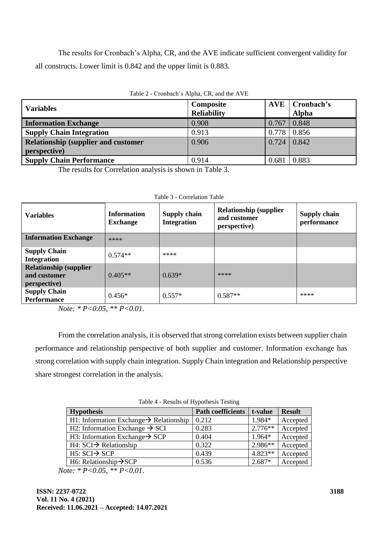The results for Cronbach's Alpha, CR, and the AVE indicate sufficient convergent validity for all constructs. Lower limit is 0.842 and the upper limit is 0.883.

| <b>Variables</b>                            | Composite          |                    | <b>AVE</b>   Cronbach's |
|---------------------------------------------|--------------------|--------------------|-------------------------|
|                                             | <b>Reliability</b> |                    | <b>Alpha</b>            |
| <b>Information Exchange</b>                 | 0.908              | 0.767              | 0.848                   |
| <b>Supply Chain Integration</b>             | 0.913              | $0.778$ 0.856      |                         |
| <b>Relationship (supplier and customer)</b> | 0.906              | $0.724 \mid 0.842$ |                         |
| perspective)                                |                    |                    |                         |
| <b>Supply Chain Performance</b>             | 0.914              | 0.681              | 0.883                   |

## Table 2 - Cronbach's Alpha, CR, and the AVE

The results for Correlation analysis is shown in Table 3.

| <b>Variables</b>                                               | <b>Information</b><br><b>Exchange</b> | Supply chain<br><b>Integration</b> | <b>Relationship (supplier)</b><br>and customer<br>perspective) | <b>Supply chain</b><br>performance |
|----------------------------------------------------------------|---------------------------------------|------------------------------------|----------------------------------------------------------------|------------------------------------|
| <b>Information Exchange</b>                                    | ****                                  |                                    |                                                                |                                    |
| <b>Supply Chain</b><br><b>Integration</b>                      | $0.574**$                             | ****                               |                                                                |                                    |
| <b>Relationship (supplier)</b><br>and customer<br>perspective) | $0.405**$                             | $0.639*$                           | ****                                                           |                                    |
| <b>Supply Chain</b><br><b>Performance</b>                      | $0.456*$                              | $0.557*$                           | $0.587**$                                                      | ****                               |

|  |  | Table 3 - Correlation Table |  |
|--|--|-----------------------------|--|
|--|--|-----------------------------|--|

*Note: \* P<0.05, \*\* P<0.01.*

From the correlation analysis, it is observed that strong correlation exists between supplier chain performance and relationship perspective of both supplier and customer. Information exchange has strong correlation with supply chain integration. Supply Chain integration and Relationship perspective share strongest correlation in the analysis.

| Table 4 - Results of Hypothesis Testing |  |  |
|-----------------------------------------|--|--|
|-----------------------------------------|--|--|

| <b>Hypothesis</b>                                   | <b>Path coefficients</b> | t-value   | <b>Result</b> |
|-----------------------------------------------------|--------------------------|-----------|---------------|
| H1: Information Exchange $\rightarrow$ Relationship | 0.212                    | 1.984*    | Accepted      |
| H2: Information Exchange $\rightarrow$ SCI          | 0.283                    | $2.776**$ | Accepted      |
| H3: Information Exchange $\rightarrow$ SCP          | 0.404                    | 1.964*    | Accepted      |
| $H4: SCI \rightarrow Relationship$                  | 0.322                    | $2.986**$ | Accepted      |
| $H5:SCI \rightarrow SCP$                            | 0.439                    | $4.823**$ | Accepted      |
| H6: Relationship $\rightarrow$ SCP                  | 0.536                    | $2.687*$  | Accepted      |

*Note: \* P<0.05, \*\* P<0.01*.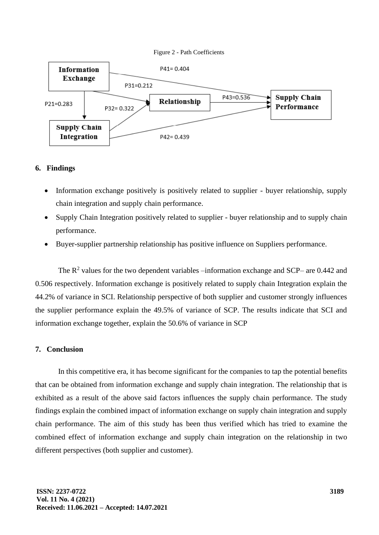



# **6. Findings**

- Information exchange positively is positively related to supplier buyer relationship, supply chain integration and supply chain performance.
- Supply Chain Integration positively related to supplier buyer relationship and to supply chain performance.
- Buyer-supplier partnership relationship has positive influence on Suppliers performance.

The  $R^2$  values for the two dependent variables –information exchange and SCP– are 0.442 and 0.506 respectively. Information exchange is positively related to supply chain Integration explain the 44.2% of variance in SCI. Relationship perspective of both supplier and customer strongly influences the supplier performance explain the 49.5% of variance of SCP. The results indicate that SCI and information exchange together, explain the 50.6% of variance in SCP

## **7. Conclusion**

In this competitive era, it has become significant for the companies to tap the potential benefits that can be obtained from information exchange and supply chain integration. The relationship that is exhibited as a result of the above said factors influences the supply chain performance. The study findings explain the combined impact of information exchange on supply chain integration and supply chain performance. The aim of this study has been thus verified which has tried to examine the combined effect of information exchange and supply chain integration on the relationship in two different perspectives (both supplier and customer).